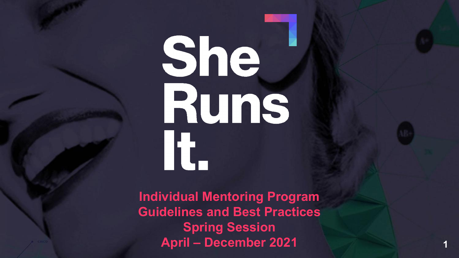# She. It.

**Individual Mentoring Program Guidelines and Best Practices Spring Session April – December 2021**

**1**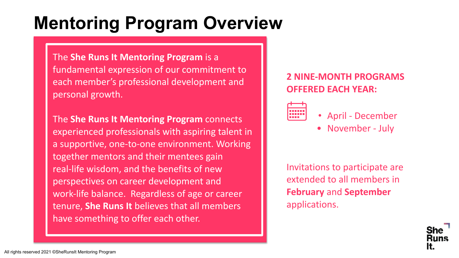## **Mentoring Program Overview**

The **She Runs It Mentoring Program** is a fundamental expression of our commitment to each member's professional development and personal growth.

The **She Runs It Mentoring Program** connects experienced professionals with aspiring talent in a supportive, one-to-one environment. Working together mentors and their mentees gain real-life wisdom, and the benefits of new perspectives on career development and work-life balance. Regardless of age or career tenure, **She Runs It** believes that all members have something to offer each other.

### **2 NINE-MONTH PROGRAMS OFFERED EACH YEAR:**



### • April - December

• November - July

Invitations to participate are extended to all members in **February** and **September** applications.

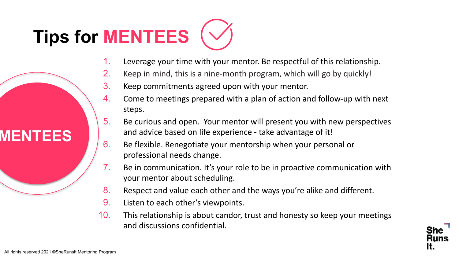## **Tips for MENTEES**

- 1. Leverage your time with your mentor. Be respectful of this relationship.
- 2. Keep in mind, this is a nine-month program, which will go by quickly!
- 3. Keep commitments agreed upon with your mentor.
- 4. Come to meetings prepared with a plan of action and follow-up with next steps.
- 5. Be curious and open. Your mentor will present you with new perspectives and advice based on life experience - take advantage of it!
- 6. Be flexible. Renegotiate your mentorship when your personal or professional needs change.
- 7. Be in communication. It's your role to be in proactive communication with your mentor about scheduling.
- 8. Respect and value each other and the ways you're alike and different.
- 9. Listen to each other's viewpoints.
- 10. This relationship is about candor, trust and honesty so keep your meetings and discussions confidential.



**MENTEES**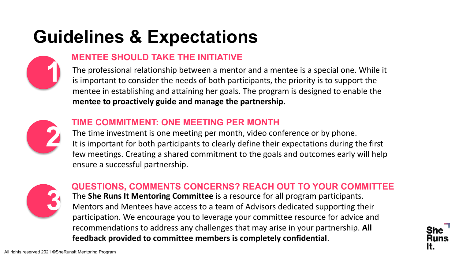## **Guidelines & Expectations**



### **MENTEE SHOULD TAKE THE INITIATIVE**

The professional relationship between a mentor and a mentee is a special one. While it is important to consider the needs of both participants, the priority is to support the mentee in establishing and attaining her goals. The program is designed to enable the **mentee to proactively guide and manage the partnership**.



### **TIME COMMITMENT: ONE MEETING PER MONTH**

The time investment is one meeting per month, video conference or by phone. It is important for both participants to clearly define their expectations during the first few meetings. Creating a shared commitment to the goals and outcomes early will help ensure a successful partnership.



### The **She Runs It Mentoring Committee** is a resource for all program participants. Mentors and Mentees have access to a team of Advisors dedicated supporting their participation. We encourage you to leverage your committee resource for advice and recommendations to address any challenges that may arise in your partnership. **All feedback provided to committee members is completely confidential**. **QUESTIONS, COMMENTS CONCERNS? REACH OUT TO YOUR COMMITTEE**

**4**

It.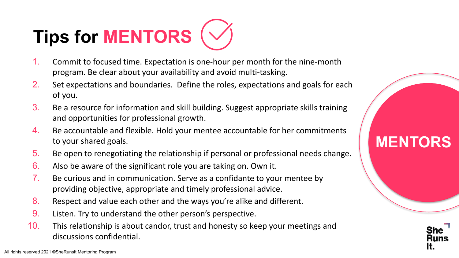## **Tips for MENTORS**

- 1. Commit to focused time. Expectation is one-hour per month for the nine-month program. Be clear about your availability and avoid multi-tasking.
- 2. Set expectations and boundaries. Define the roles, expectations and goals for each of you.
- 3. Be a resource for information and skill building. Suggest appropriate skills training and opportunities for professional growth.
- 4. Be accountable and flexible. Hold your mentee accountable for her commitments to your shared goals.
- 5. Be open to renegotiating the relationship if personal or professional needs change.
- 6. Also be aware of the significant role you are taking on. Own it.
- 7. Be curious and in communication. Serve as a confidante to your mentee by providing objective, appropriate and timely professional advice.
- 8. Respect and value each other and the ways you're alike and different.
- 9. Listen. Try to understand the other person's perspective.
- 10. This relationship is about candor, trust and honesty so keep your meetings and discussions confidential.

**MENTORS**

**5**

It.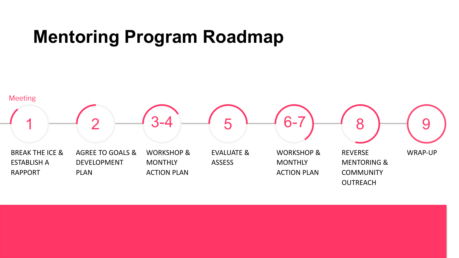## **Mentoring Program Roadmap**

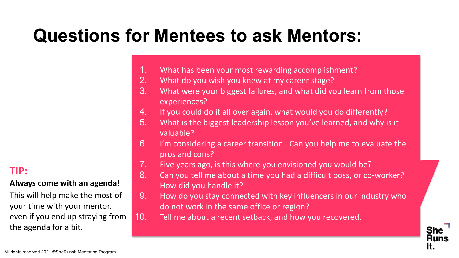## **Questions for Mentees to ask Mentors:**

- 1. What has been your most rewarding accomplishment?
- 2. What do you wish you knew at my career stage?
- 3. What were your biggest failures, and what did you learn from those experiences?
- 4. If you could do it all over again, what would you do differently?
- 5. What is the biggest leadership lesson you've learned, and why is it valuable?
- 6. I'm considering a career transition. Can you help me to evaluate the pros and cons?
- 7. Five years ago, is this where you envisioned you would be?
- 8. Can you tell me about a time you had a difficult boss, or co-worker? How did you handle it?
- 9. How do you stay connected with key influencers in our industry who do not work in the same office or region?

**7**

She

It.

10. Tell me about a recent setback, and how you recovered.

### **TIP:**

### **Always come with an agenda!**

This will help make the most of your time with your mentor, even if you end up straying from the agenda for a bit.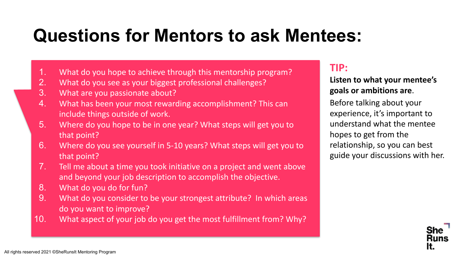## **Questions for Mentors to ask Mentees:**

- 1. What do you hope to achieve through this mentorship program?
- 2. What do you see as your biggest professional challenges?
- 3. What are you passionate about?
- 4. What has been your most rewarding accomplishment? This can include things outside of work.
- 5. Where do you hope to be in one year? What steps will get you to that point?
- 6. Where do you see yourself in 5-10 years? What steps will get you to that point?
- 7. Tell me about a time you took initiative on a project and went above and beyond your job description to accomplish the objective.
- 8. What do you do for fun?
- 9. What do you consider to be your strongest attribute? In which areas do you want to improve?
- 10. What aspect of your job do you get the most fulfillment from? Why?

### **TIP:**

**Listen to what your mentee's goals or ambitions are**.

Before talking about your experience, it's important to understand what the mentee hopes to get from the relationship, so you can best guide your discussions with her.

**8**

It.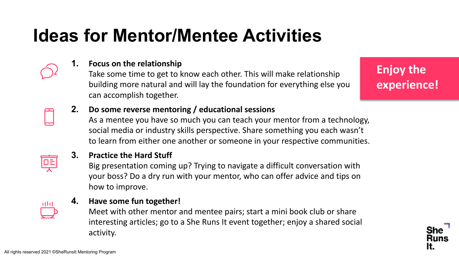## **Ideas for Mentor/Mentee Activities**



### **1. Focus on the relationship**

Take some time to get to know each other. This will make relationship building more natural and will lay the foundation for everything else you can accomplish together.

**Enjoy the experience!**

### **2. Do some reverse mentoring / educational sessions**

As a mentee you have so much you can teach your mentor from a technology, social media or industry skills perspective. Share something you each wasn't to learn from either one another or someone in your respective communities.



### **3. Practice the Hard Stuff**

Big presentation coming up? Trying to navigate a difficult conversation with your boss? Do a dry run with your mentor, who can offer advice and tips on how to improve.



### **4. Have some fun together!**

Meet with other mentor and mentee pairs; start a mini book club or share interesting articles; go to a She Runs It event together; enjoy a shared social activity.

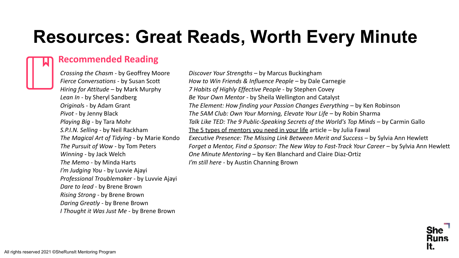## **Resources: Great Reads, Worth Every Minute**

### **Recommended Reading**

*Crossing the Chasm* - by Geoffrey Moore *Fierce Conversations* - by Susan Scott *Hiring for Attitude* – by Mark Murphy *Lean In* - by Sheryl Sandberg *Original*s - by Adam Grant *Pivot* - by Jenny Black *Playing Big* - by Tara Mohr *S.P.I.N. Selling* - by Neil Rackham *The Magical Art of Tidying* - by Marie Kondo *The Pursuit of Wow* - by Tom Peters *Winning* - by Jack Welch *The Memo* - by Minda Harts *I'm Judging You* - by Luvvie Ajayi *Professional Troublemaker* - by Luvvie Ajayi *Dare to lead* - by Brene Brown *Rising Strong* - by Brene Brown *Daring Greatly* - by Brene Brown *I Thought it Was Just Me* - by Brene Brown

*Discover Your Strengths* – by Marcus Buckingham *How to Win Friends & Influence People –* by Dale Carnegie *7 Habits of Highly Effective People* - by Stephen Covey *Be Your Own Mentor* - by Sheila Wellington and Catalyst *The Element: How finding your Passion Changes Everything - by Ken Robinson The 5AM Club: Own Your Morning, Elevate Your Life – by Robin Sharma Talk Like TED: The 9 Public-Speaking Secrets of the World's Top Minds – by Carmin Gallo* [The 5 types of mentors you need in your life](https://ideas.ted.com/the-5-types-of-mentors-you-need-in-your-life/) article – by Julia Fawal *Executive Presence: The Missing Link Between Merit and Success - by Sylvia Ann Hewlett Forget a Mentor, Find a Sponsor: The New Way to Fast-Track Your Career – by Sylvia Ann Hewlett One Minute Mentoring* – by Ken Blanchard and Claire Diaz-Ortiz *I'm still here* - by Austin Channing Brown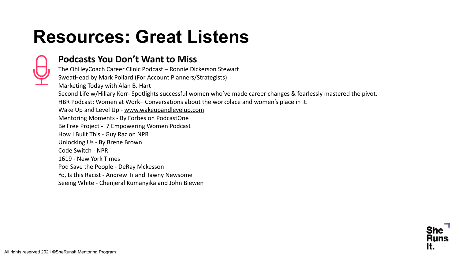## **Resources: Great Listens**



### **Podcasts You Don't Want to Miss**

The OhHeyCoach Career Clinic Podcast – Ronnie Dickerson Stewart SweatHead by Mark Pollard (For Account Planners/Strategists) Marketing Today with Alan B. Hart Second Life w/Hillary Kerr- Spotlights successful women who've made career changes & fearlessly mastered the pivot. HBR Podcast: Women at Work– Conversations about the workplace and women's place in it. Wake Up and Level Up - [www.wakeupandlevelup.com](http://www.wakeupandlevelup.com/) Mentoring Moments - By Forbes on PodcastOne Be Free Project - 7 Empowering Women Podcast How I Built This - Guy Raz on NPR Unlocking Us - By Brene Brown Code Switch - NPR 1619 - New York Times Pod Save the People - DeRay Mckesson Yo, Is this Racist - Andrew Ti and Tawny Newsome Seeing White - Chenjeral Kumanyika and John Biewen

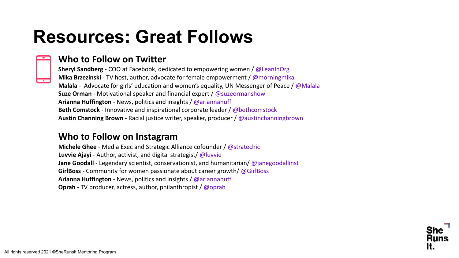## **Resources: Great Follows**



### **Who to Follow on Twitter**

**Sheryl Sandberg** - COO at Facebook, dedicated to empowering women / @LeanInOrg **Mika Brzezinski** - TV host, author, advocate for female empowerment / @morningmika **Malala** - Advocate for girls' education and women's equality, UN Messenger of Peace / @Malala **Suze Orman** - Motivational speaker and financial expert / @suzeormanshow **Arianna Huffington** - News, politics and insights / @ariannahuff **Beth Comstock** - Innovative and inspirational corporate leader / @bethcomstock **Austin Channing Brown** - Racial justice writer, speaker, producer / @austinchanningbrown

### **Who to Follow on Instagram**

**Michele Ghee** - Media Exec and Strategic Alliance cofounder / @stratechic **Luvvie Ajayi** - Author, activist, and digital strategist/ @luvvie **Jane Goodall** - Legendary scientist, conservationist, and humanitarian/ @janegoodallinst **GirlBoss** - Community for women passionate about career growth/ @GirlBoss **Arianna Huffington** - News, politics and insights / @ariannahuff **Oprah** - TV producer, actress, author, philanthropist / @oprah

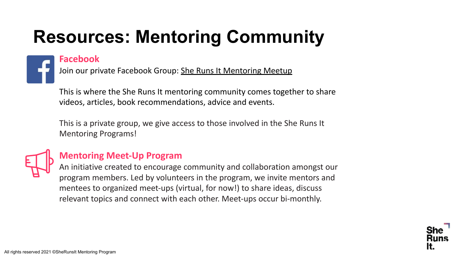## **Resources: Mentoring Community**

### **Facebook**

Join our private Facebook Group: [She Runs It Mentoring Meetup](https://www.facebook.com/groups/sherunsitmentoring/)

This is where the She Runs It mentoring community comes together to share videos, articles, book recommendations, advice and events.

This is a private group, we give access to those involved in the She Runs It Mentoring Programs!



### **Mentoring Meet-Up Program**

An initiative created to encourage community and collaboration amongst our program members. Led by volunteers in the program, we invite mentors and mentees to organized meet-ups (virtual, for now!) to share ideas, discuss relevant topics and connect with each other. Meet-ups occur bi-monthly.

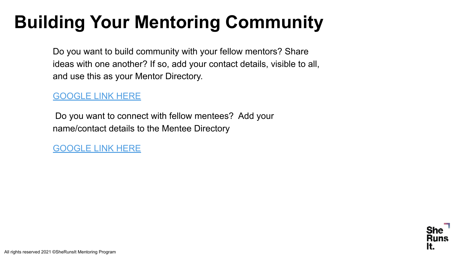## **Building Your Mentoring Community**

Do you want to build community with your fellow mentors? Share ideas with one another? If so, add your contact details, visible to all, and use this as your Mentor Directory.

### [GOOGLE LINK HERE](https://docs.google.com/spreadsheets/d/1N4W8WE8FE55KjCEsC6SAsqz8EAk83ZD8l0_lpZrIj3Y/edit?usp=sharing)

 Do you want to connect with fellow mentees? Add your name/contact details to the Mentee Directory

[GOOGLE LINK HERE](https://docs.google.com/spreadsheets/d/1nL-VYLsr_7C7oem0gZTofyI3QSzzjSIWSzrHbwddV3g/edit?usp=sharing)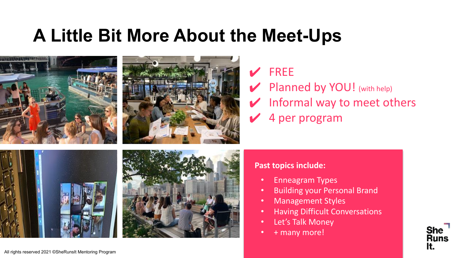## **A Little Bit More About the Meet-Ups**



### **FREE**

**Planned by YOU!** (with help)  $\blacktriangleright$  Informal way to meet others ✔ 4 per program

### **Past topics include:**

- Enneagram Types
- Building your Personal Brand
- Management Styles
- Having Difficult Conversations
- Let's Talk Money
- + many more!

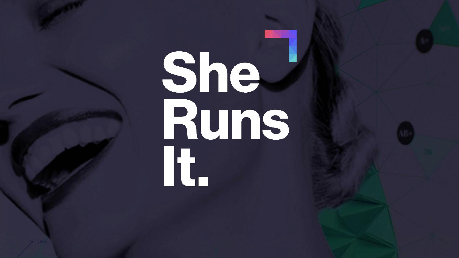# She. It.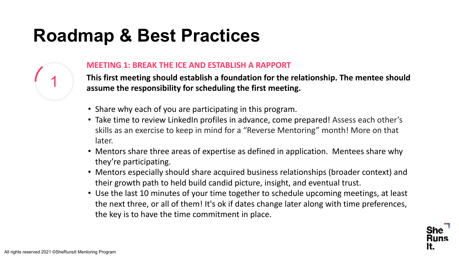

#### **MEETING 1: BREAK THE ICE AND ESTABLISH A RAPPORT**

**This first meeting should establish a foundation for the relationship. The mentee should assume the responsibility for scheduling the first meeting.**

- Share why each of you are participating in this program.
- Take time to review LinkedIn profiles in advance, come prepared! Assess each other's skills as an exercise to keep in mind for a "Reverse Mentoring" month! More on that later.
- Mentors share three areas of expertise as defined in application. Mentees share why they're participating.
- Mentors especially should share acquired business relationships (broader context) and their growth path to held build candid picture, insight, and eventual trust.
- Use the last 10 minutes of your time together to schedule upcoming meetings, at least the next three, or all of them! It's ok if dates change later along with time preferences, the key is to have the time commitment in place.

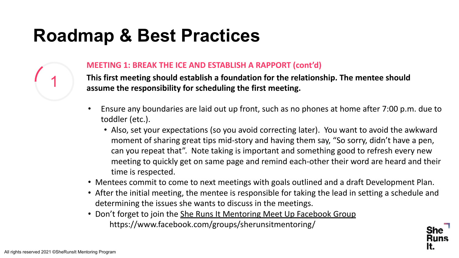

### **MEETING 1: BREAK THE ICE AND ESTABLISH A RAPPORT (cont'd)**

**This first meeting should establish a foundation for the relationship. The mentee should** 1 **assume the responsibility for scheduling the first meeting.**

- Ensure any boundaries are laid out up front, such as no phones at home after 7:00 p.m. due to toddler (etc.).
	- Also, set your expectations (so you avoid correcting later). You want to avoid the awkward moment of sharing great tips mid-story and having them say, "So sorry, didn't have a pen, can you repeat that". Note taking is important and something good to refresh every new meeting to quickly get on same page and remind each-other their word are heard and their time is respected.
- Mentees commit to come to next meetings with goals outlined and a draft Development Plan.
- After the initial meeting, the mentee is responsible for taking the lead in setting a schedule and determining the issues she wants to discuss in the meetings.
- Don't forget to join the [She Runs It Mentoring Meet Up Facebook Group](https://www.facebook.com/groups/sherunsitmentoring/) https://www.facebook.com/groups/sherunsitmentoring/

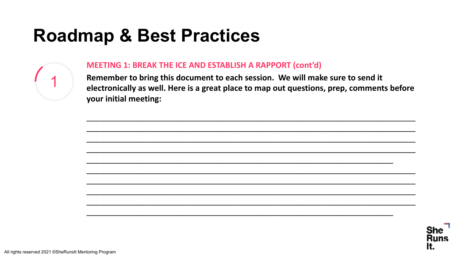

#### **MEETING 1: BREAK THE ICE AND ESTABLISH A RAPPORT (cont'd)**

Remember to bring this document to each session. We will make sure to send it electronically as well. Here is a great place to map out questions, prep, comments before your initial meeting:



It.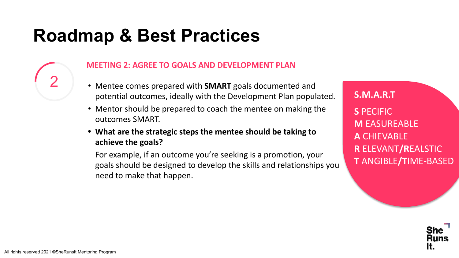### **MEETING 2: AGREE TO GOALS AND DEVELOPMENT PLAN**

- Mentee comes prepared with **SMART** goals documented and potential outcomes, ideally with the Development Plan populated.
- Mentor should be prepared to coach the mentee on making the outcomes SMART.
- **• What are the strategic steps the mentee should be taking to achieve the goals?**

For example, if an outcome you're seeking is a promotion, your goals should be designed to develop the skills and relationships you need to make that happen.

**S.M.A.R.T S** PECIFIC **M** EASUREABLE **A** CHIEVABLE **R** ELEVANT**/R**EALSTIC **T** ANGIBLE**/T**IME**-**BASED

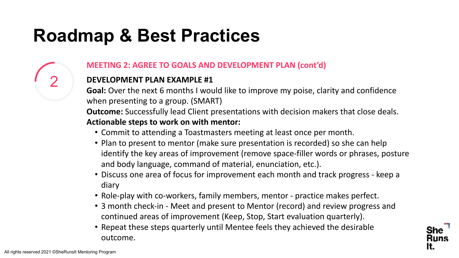### **MEETING 2: AGREE TO GOALS AND DEVELOPMENT PLAN (cont'd)**

### **DEVELOPMENT PLAN EXAMPLE #1**

**Goal:** Over the next 6 months I would like to improve my poise, clarity and confidence when presenting to a group. (SMART)

**Outcome:** Successfully lead Client presentations with decision makers that close deals. **Actionable steps to work on with mentor:**

- Commit to attending a Toastmasters meeting at least once per month.
- Plan to present to mentor (make sure presentation is recorded) so she can help identify the key areas of improvement (remove space-filler words or phrases, posture and body language, command of material, enunciation, etc.).
- Discuss one area of focus for improvement each month and track progress keep a diary
- Role-play with co-workers, family members, mentor practice makes perfect.
- 3 month check-in Meet and present to Mentor (record) and review progress and continued areas of improvement (Keep, Stop, Start evaluation quarterly).

**21**

It.

• Repeat these steps quarterly until Mentee feels they achieved the desirable outcome.

2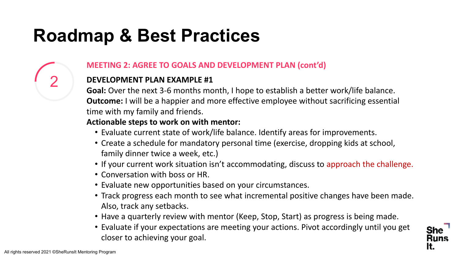### **MEETING 2: AGREE TO GOALS AND DEVELOPMENT PLAN (cont'd)**

### **DEVELOPMENT PLAN EXAMPLE #1**

**Goal:** Over the next 3-6 months month, I hope to establish a better work/life balance. **Outcome:** I will be a happier and more effective employee without sacrificing essential time with my family and friends.

### **Actionable steps to work on with mentor:**

- Evaluate current state of work/life balance. Identify areas for improvements.
- Create a schedule for mandatory personal time (exercise, dropping kids at school, family dinner twice a week, etc.)
- If your current work situation isn't accommodating, discuss to approach the challenge.
- Conversation with boss or HR.
- Evaluate new opportunities based on your circumstances.
- Track progress each month to see what incremental positive changes have been made. Also, track any setbacks.
- Have a quarterly review with mentor (Keep, Stop, Start) as progress is being made.
- Evaluate if your expectations are meeting your actions. Pivot accordingly until you get closer to achieving your goal.



2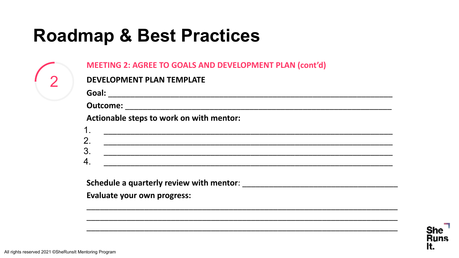|    | Actionable steps to work on with mentor:                                                                              |  |
|----|-----------------------------------------------------------------------------------------------------------------------|--|
| 1. |                                                                                                                       |  |
| 2. | <u> 1989 - Johann John Stone, markin sanat masjid a shekara ta 1989 - An tsara ta 1989 - An tsara ta 1989 - An ts</u> |  |
| 3. |                                                                                                                       |  |
|    |                                                                                                                       |  |
|    |                                                                                                                       |  |

 $\overline{2}$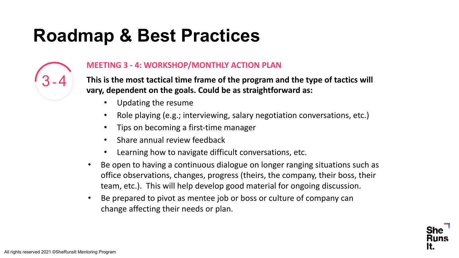

### **MEETING 3 - 4: WORKSHOP/MONTHLY ACTION PLAN**

**This is the most tactical time frame of the program and the type of tactics will vary, dependent on the goals. Could be as straightforward as:**

- Updating the resume
- Role playing (e.g.; interviewing, salary negotiation conversations, etc.)
- Tips on becoming a first-time manager
- Share annual review feedback
- Learning how to navigate difficult conversations, etc.
- Be open to having a continuous dialogue on longer ranging situations such as office observations, changes, progress (theirs, the company, their boss, their team, etc.). This will help develop good material for ongoing discussion.
- Be prepared to pivot as mentee job or boss or culture of company can change affecting their needs or plan.

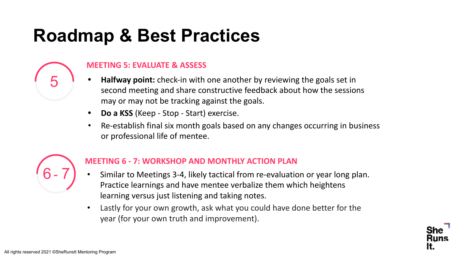

- **• Halfway point:** check-in with one another by reviewing the goals set in second meeting and share constructive feedback about how the sessions may or may not be tracking against the goals.
- **• Do a KSS** (Keep Stop Start) exercise.
- Re-establish final six month goals based on any changes occurring in business or professional life of mentee.



5

### **MEETING 6 - 7: WORKSHOP AND MONTHLY ACTION PLAN**

- Similar to Meetings 3-4, likely tactical from re-evaluation or year long plan. Practice learnings and have mentee verbalize them which heightens learning versus just listening and taking notes.
- Lastly for your own growth, ask what you could have done better for the year (for your own truth and improvement).

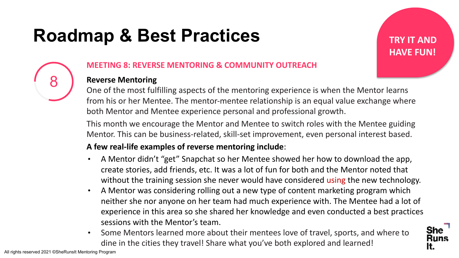**TRY IT AND HAVE FUN!**



### **MEETING 8: REVERSE MENTORING & COMMUNITY OUTREACH**

### **Reverse Mentoring**

One of the most fulfilling aspects of the mentoring experience is when the Mentor learns from his or her Mentee. The mentor-mentee relationship is an equal value exchange where both Mentor and Mentee experience personal and professional growth.

This month we encourage the Mentor and Mentee to switch roles with the Mentee guiding Mentor. This can be business-related, skill-set improvement, even personal interest based.

### **A few real-life examples of reverse mentoring include**:

- A Mentor didn't "get" Snapchat so her Mentee showed her how to download the app, create stories, add friends, etc. It was a lot of fun for both and the Mentor noted that without the training session she never would have considered using the new technology.
- A Mentor was considering rolling out a new type of content marketing program which neither she nor anyone on her team had much experience with. The Mentee had a lot of experience in this area so she shared her knowledge and even conducted a best practices sessions with the Mentor's team.
- Some Mentors learned more about their mentees love of travel, sports, and where to dine in the cities they travel! Share what you've both explored and learned!

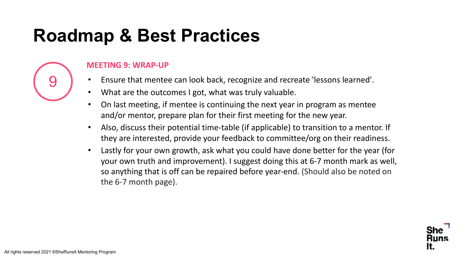

### **MEETING 9: WRAP-UP**

- Ensure that mentee can look back, recognize and recreate 'lessons learned'.
- What are the outcomes I got, what was truly valuable.
- On last meeting, if mentee is continuing the next year in program as mentee and/or mentor, prepare plan for their first meeting for the new year.
- Also, discuss their potential time-table (if applicable) to transition to a mentor. If they are interested, provide your feedback to committee/org on their readiness.
- Lastly for your own growth, ask what you could have done better for the year (for your own truth and improvement). I suggest doing this at 6-7 month mark as well, so anything that is off can be repaired before year-end. (Should also be noted on the 6-7 month page).